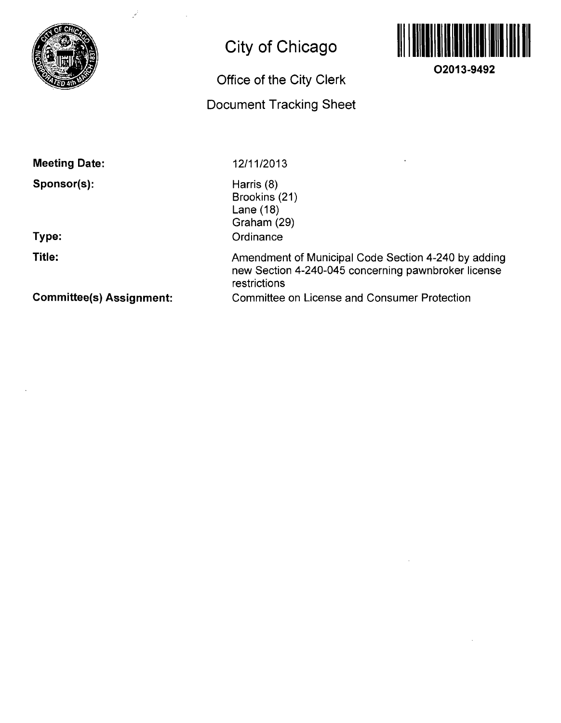

## **City of Chicago**

# **Office of the City Clerk**

## **Document Tracking Sheet**



**O2013-9492** 

**Meeting Date:** 

**Sponsor(s):** 

**Type:** 

**Title:** 

12/11/2013

Harris (8) Brookins (21) Lane (18) Graham (29) **Ordinance** 

Amendment of Municipal Code Section 4-240 by adding new Section 4-240-045 concerning pawnbroker license restrictions Committee on License and Consumer Protection

**Committee(s) Assignment:**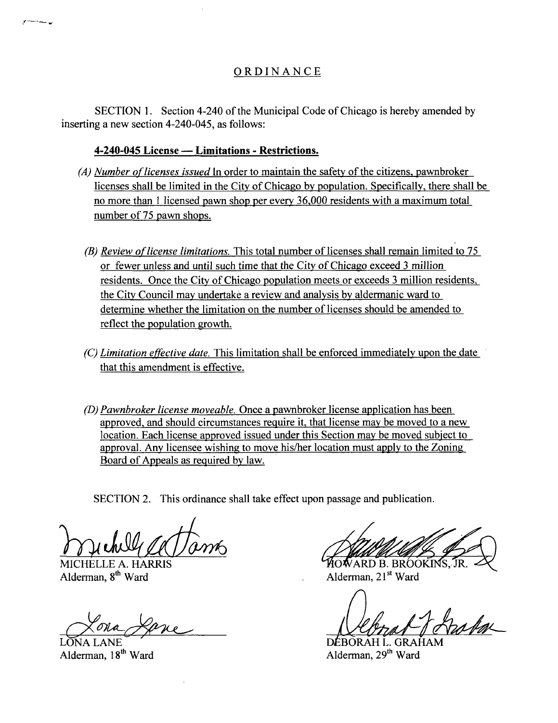### O R DINANC E

SECTION 1. Section 4-240 of the Municipal Code of Chicago is hereby amended by inserting a new section 4-240-045, as follows:

#### **4-240-045 License — Limitations - Restrictions.**

- (A) Number of licenses issued In order to maintain the safety of the citizens, pawnbroker licenses shall be limited in the City of Chicago by population. Specifically, there shall be no more than 1 licensed pawn shop per every 36,000 residents with a maximum total number of 75 pawn shops.
	- (B) Review of license limitations. This total number of licenses shall remain limited to  $75$ or fewer unless and until such time that the City of Chicago exceed 3 million residents. Once the Citv of Chicago population meets or exceeds 3 million residents, the Citv Council may undertake a review and analysis by aldermanic ward to determine whether the limitation on the number of licenses should be amended to reflect the population growth.
- (C) Limitation effective date. This limitation shall be enforced immediately upon the date that this amendment is effective.
- (D) Pawnbroker license moveable. Once a pavmbroker license application has been approved, and should circumstances require it, that license may be moved to a new location. Each license approved issued under this Section may be moved subiect to approval. Any licensee wishing to move his/her location must applv to the Zoning Board of Appeals as required by law.

SECTION 2. This ordinance shall take effect upon passage and publication.

MICHELLE A. HARRIS **THE SEAL AND ALGEBROOK** MICHELLE A. HARRIS TR. SALE AND THE SEAL ALGEMENT AND ALGEMENT AND ALGEMENT AND ALGEMENT AND ALGEMENT AND RESERVE AND ALGEMENT AND RESERVE ASSAULT A LOCAL ALGEMENT AND ALGEMENT A Alderman, 21<sup>st</sup> Ward

LONA LANE DEBORAH L. GRAHAM Alderman, 18<sup>th</sup> Ward Alderman, 29<sup>th</sup> Ward